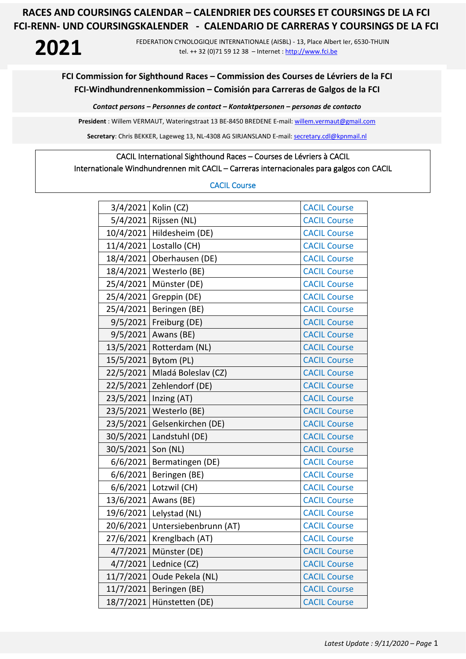## **2021**

FEDERATION CYNOLOGIQUE INTERNATIONALE (AISBL) - 13, Place Albert Ier, 6530-THUIN tel. ++ 32 (0)71 59 12 38 – Internet [: http://www.fci.be](http://www.fci.be/)

#### **FCI Commission for Sighthound Races – Commission des Courses de Lévriers de la FCI FCI-Windhundrennenkommission – Comisión para Carreras de Galgos de la FCI**

*Contact persons – Personnes de contact – Kontaktpersonen – personas de contacto*

**President** : Willem VERMAUT, Wateringstraat 13 BE-8450 BREDENE E-mail: [willem.vermaut@gmail.com](mailto:willem.vermaut@gmail.com) 

Secretary: Chris BEKKER, Lageweg 13, NL-4308 AG SIRJANSLAND E-mail[: secretary.cdl@kpnmail.nl](mailto:secretary.cdl@kpnmail.nl)

## CACIL International Sighthound Races – Courses de Lévriers à CACIL

#### Internationale Windhundrennen mit CACIL – Carreras internacionales para galgos con CACIL

#### CACIL Course

|           | 3/4/2021   Kolin (CZ) | <b>CACIL Course</b> |
|-----------|-----------------------|---------------------|
| 5/4/2021  | Rijssen (NL)          | <b>CACIL Course</b> |
| 10/4/2021 | Hildesheim (DE)       | <b>CACIL Course</b> |
| 11/4/2021 | Lostallo (CH)         | <b>CACIL Course</b> |
| 18/4/2021 | Oberhausen (DE)       | <b>CACIL Course</b> |
| 18/4/2021 | Westerlo (BE)         | <b>CACIL Course</b> |
| 25/4/2021 | Münster (DE)          | <b>CACIL Course</b> |
| 25/4/2021 | Greppin (DE)          | <b>CACIL Course</b> |
| 25/4/2021 | Beringen (BE)         | <b>CACIL Course</b> |
| 9/5/2021  | Freiburg (DE)         | <b>CACIL Course</b> |
| 9/5/2021  | Awans (BE)            | <b>CACIL Course</b> |
| 13/5/2021 | Rotterdam (NL)        | <b>CACIL Course</b> |
| 15/5/2021 | Bytom (PL)            | <b>CACIL Course</b> |
| 22/5/2021 | Mladá Boleslav (CZ)   | <b>CACIL Course</b> |
| 22/5/2021 | Zehlendorf (DE)       | <b>CACIL Course</b> |
| 23/5/2021 | Inzing (AT)           | <b>CACIL Course</b> |
| 23/5/2021 | Westerlo (BE)         | <b>CACIL Course</b> |
| 23/5/2021 | Gelsenkirchen (DE)    | <b>CACIL Course</b> |
| 30/5/2021 | Landstuhl (DE)        | <b>CACIL Course</b> |
| 30/5/2021 | Son (NL)              | <b>CACIL Course</b> |
| 6/6/2021  | Bermatingen (DE)      | <b>CACIL Course</b> |
| 6/6/2021  | Beringen (BE)         | <b>CACIL Course</b> |
| 6/6/2021  | Lotzwil (CH)          | <b>CACIL Course</b> |
| 13/6/2021 | Awans (BE)            | <b>CACIL Course</b> |
| 19/6/2021 | Lelystad (NL)         | <b>CACIL Course</b> |
| 20/6/2021 | Untersiebenbrunn (AT) | <b>CACIL Course</b> |
| 27/6/2021 | Krenglbach (AT)       | <b>CACIL Course</b> |
| 4/7/2021  | Münster (DE)          | <b>CACIL Course</b> |
| 4/7/2021  | Lednice (CZ)          | <b>CACIL Course</b> |
| 11/7/2021 | Oude Pekela (NL)      | <b>CACIL Course</b> |
| 11/7/2021 | Beringen (BE)         | <b>CACIL Course</b> |
| 18/7/2021 | Hünstetten (DE)       | <b>CACIL Course</b> |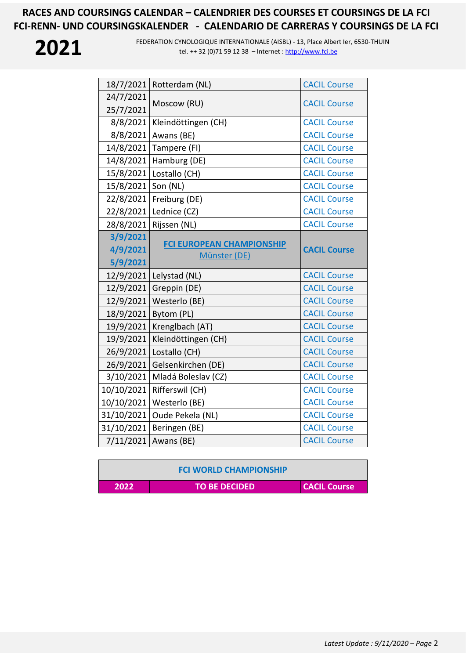

| 18/7/2021  | Rotterdam (NL)                                   | <b>CACIL Course</b> |
|------------|--------------------------------------------------|---------------------|
| 24/7/2021  |                                                  |                     |
| 25/7/2021  | Moscow (RU)                                      | <b>CACIL Course</b> |
| 8/8/2021   | Kleindöttingen (CH)                              | <b>CACIL Course</b> |
| 8/8/2021   | Awans (BE)                                       | <b>CACIL Course</b> |
| 14/8/2021  | Tampere (FI)                                     | <b>CACIL Course</b> |
| 14/8/2021  | Hamburg (DE)                                     | <b>CACIL Course</b> |
| 15/8/2021  | Lostallo (CH)                                    | <b>CACIL Course</b> |
| 15/8/2021  | Son (NL)                                         | <b>CACIL Course</b> |
| 22/8/2021  | Freiburg (DE)                                    | <b>CACIL Course</b> |
| 22/8/2021  | Lednice (CZ)                                     | <b>CACIL Course</b> |
| 28/8/2021  | Rijssen (NL)                                     | <b>CACIL Course</b> |
| 3/9/2021   |                                                  |                     |
| 4/9/2021   | <b>FCI EUROPEAN CHAMPIONSHIP</b><br>Münster (DE) | <b>CACIL Course</b> |
| 5/9/2021   |                                                  |                     |
| 12/9/2021  | Lelystad (NL)                                    | <b>CACIL Course</b> |
| 12/9/2021  | Greppin (DE)                                     | <b>CACIL Course</b> |
| 12/9/2021  | Westerlo (BE)                                    | <b>CACIL Course</b> |
| 18/9/2021  | Bytom (PL)                                       | <b>CACIL Course</b> |
| 19/9/2021  |                                                  |                     |
|            | Krenglbach (AT)                                  | <b>CACIL Course</b> |
| 19/9/2021  | Kleindöttingen (CH)                              | <b>CACIL Course</b> |
| 26/9/2021  | Lostallo (CH)                                    | <b>CACIL Course</b> |
| 26/9/2021  | Gelsenkirchen (DE)                               | <b>CACIL Course</b> |
| 3/10/2021  | Mladá Boleslav (CZ)                              | <b>CACIL Course</b> |
| 10/10/2021 | Rifferswil (CH)                                  | <b>CACIL Course</b> |
| 10/10/2021 | Westerlo (BE)                                    | <b>CACIL Course</b> |
| 31/10/2021 | Oude Pekela (NL)                                 | <b>CACIL Course</b> |
| 31/10/2021 | Beringen (BE)                                    | <b>CACIL Course</b> |
| 7/11/2021  | Awans (BE)                                       | <b>CACIL Course</b> |

|      | <b>FCI WORLD CHAMPIONSHIP</b> |              |
|------|-------------------------------|--------------|
| 2022 | <b>TO BE DECIDED!</b>         | CACIL Course |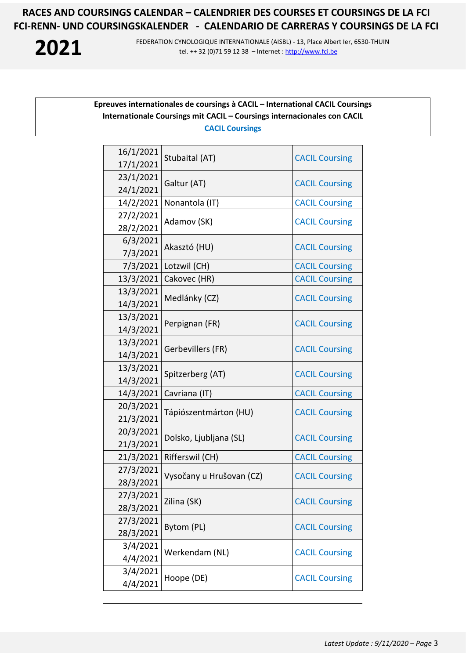**2021**

FEDERATION CYNOLOGIQUE INTERNATIONALE (AISBL) - 13, Place Albert Ier, 6530-THUIN tel. ++ 32 (0)71 59 12 38 – Internet [: http://www.fci.be](http://www.fci.be/)

#### **Epreuves internationales de coursings à CACIL – International CACIL Coursings Internationale Coursings mit CACIL – Coursings internacionales con CACIL CACIL Coursings**

| 16/1/2021              | Stubaital (AT)           | <b>CACIL Coursing</b> |
|------------------------|--------------------------|-----------------------|
| 17/1/2021              |                          |                       |
| 23/1/2021              | Galtur (AT)              | <b>CACIL Coursing</b> |
| 24/1/2021              |                          |                       |
| 14/2/2021              | Nonantola (IT)           | <b>CACIL Coursing</b> |
| 27/2/2021              | Adamov (SK)              | <b>CACIL Coursing</b> |
| 28/2/2021              |                          |                       |
| 6/3/2021               | Akasztó (HU)             | <b>CACIL Coursing</b> |
| 7/3/2021               |                          |                       |
| 7/3/2021               | Lotzwil (CH)             | <b>CACIL Coursing</b> |
| 13/3/2021              | Cakovec (HR)             | <b>CACIL Coursing</b> |
| 13/3/2021              | Medlánky (CZ)            | <b>CACIL Coursing</b> |
| 14/3/2021              |                          |                       |
| 13/3/2021<br>14/3/2021 | Perpignan (FR)           | <b>CACIL Coursing</b> |
| 13/3/2021              |                          | <b>CACIL Coursing</b> |
| 14/3/2021              | Gerbevillers (FR)        |                       |
| 13/3/2021              |                          |                       |
| 14/3/2021              | Spitzerberg (AT)         | <b>CACIL Coursing</b> |
| 14/3/2021              | Cavriana (IT)            | <b>CACIL Coursing</b> |
| 20/3/2021              |                          | <b>CACIL Coursing</b> |
| 21/3/2021              | Tápiószentmárton (HU)    |                       |
| 20/3/2021              | Dolsko, Ljubljana (SL)   | <b>CACIL Coursing</b> |
| 21/3/2021              |                          |                       |
| 21/3/2021              | Rifferswil (CH)          | <b>CACIL Coursing</b> |
| 27/3/2021              | Vysočany u Hrušovan (CZ) | <b>CACIL Coursing</b> |
| 28/3/2021              |                          |                       |
| 27/3/2021              | Zilina (SK)              | <b>CACIL Coursing</b> |
| 28/3/2021              |                          |                       |
| 27/3/2021              | Bytom (PL)               | <b>CACIL Coursing</b> |
| 28/3/2021              |                          |                       |
| 3/4/2021               | Werkendam (NL)           | <b>CACIL Coursing</b> |
| 4/4/2021               |                          |                       |
| 3/4/2021               | Hoope (DE)               | <b>CACIL Coursing</b> |
| 4/4/2021               |                          |                       |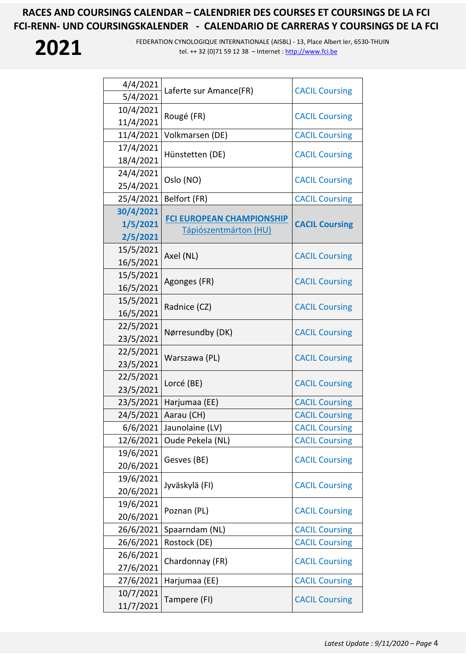# **2021**

| 4/4/2021  | Laferte sur Amance(FR)           | <b>CACIL Coursing</b> |
|-----------|----------------------------------|-----------------------|
| 5/4/2021  |                                  |                       |
| 10/4/2021 | Rougé (FR)                       | <b>CACIL Coursing</b> |
| 11/4/2021 |                                  |                       |
| 11/4/2021 | Volkmarsen (DE)                  | <b>CACIL Coursing</b> |
| 17/4/2021 | Hünstetten (DE)                  | <b>CACIL Coursing</b> |
| 18/4/2021 |                                  |                       |
| 24/4/2021 | Oslo (NO)                        | <b>CACIL Coursing</b> |
| 25/4/2021 |                                  |                       |
| 25/4/2021 | Belfort (FR)                     | <b>CACIL Coursing</b> |
| 30/4/2021 | <b>FCI EUROPEAN CHAMPIONSHIP</b> |                       |
| 1/5/2021  | Tápiószentmárton (HU)            | <b>CACIL Coursing</b> |
| 2/5/2021  |                                  |                       |
| 15/5/2021 | Axel (NL)                        | <b>CACIL Coursing</b> |
| 16/5/2021 |                                  |                       |
| 15/5/2021 | Agonges (FR)                     | <b>CACIL Coursing</b> |
| 16/5/2021 |                                  |                       |
| 15/5/2021 | Radnice (CZ)                     | <b>CACIL Coursing</b> |
| 16/5/2021 |                                  |                       |
| 22/5/2021 | Nørresundby (DK)                 | <b>CACIL Coursing</b> |
| 23/5/2021 |                                  |                       |
| 22/5/2021 | Warszawa (PL)                    | <b>CACIL Coursing</b> |
| 23/5/2021 |                                  |                       |
| 22/5/2021 | Lorcé (BE)                       | <b>CACIL Coursing</b> |
| 23/5/2021 |                                  |                       |
| 23/5/2021 | Harjumaa (EE)                    | <b>CACIL Coursing</b> |
| 24/5/2021 | Aarau (CH)                       | <b>CACIL Coursing</b> |
| 6/6/2021  | Jaunolaine (LV)                  | <b>CACIL Coursing</b> |
| 12/6/2021 | Oude Pekela (NL)                 | <b>CACIL Coursing</b> |
| 19/6/2021 | Gesves (BE)                      | <b>CACIL Coursing</b> |
| 20/6/2021 |                                  |                       |
| 19/6/2021 | Jyväskylä (FI)                   | <b>CACIL Coursing</b> |
| 20/6/2021 |                                  |                       |
| 19/6/2021 | Poznan (PL)                      | <b>CACIL Coursing</b> |
| 20/6/2021 |                                  |                       |
| 26/6/2021 | Spaarndam (NL)                   | <b>CACIL Coursing</b> |
| 26/6/2021 | Rostock (DE)                     | <b>CACIL Coursing</b> |
| 26/6/2021 | Chardonnay (FR)                  | <b>CACIL Coursing</b> |
| 27/6/2021 |                                  |                       |
| 27/6/2021 | Harjumaa (EE)                    | <b>CACIL Coursing</b> |
| 10/7/2021 | Tampere (FI)                     | <b>CACIL Coursing</b> |
| 11/7/2021 |                                  |                       |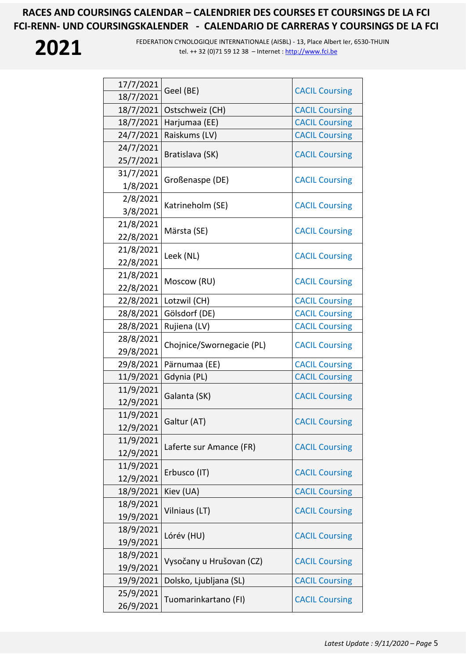

| 17/7/2021 | Geel (BE)                 | <b>CACIL Coursing</b> |
|-----------|---------------------------|-----------------------|
| 18/7/2021 |                           |                       |
| 18/7/2021 | Ostschweiz (CH)           | <b>CACIL Coursing</b> |
| 18/7/2021 | Harjumaa (EE)             | <b>CACIL Coursing</b> |
| 24/7/2021 | Raiskums (LV)             | <b>CACIL Coursing</b> |
| 24/7/2021 |                           |                       |
| 25/7/2021 | Bratislava (SK)           | <b>CACIL Coursing</b> |
| 31/7/2021 |                           |                       |
| 1/8/2021  | Großenaspe (DE)           | <b>CACIL Coursing</b> |
| 2/8/2021  |                           | <b>CACIL Coursing</b> |
| 3/8/2021  | Katrineholm (SE)          |                       |
| 21/8/2021 |                           |                       |
| 22/8/2021 | Märsta (SE)               | <b>CACIL Coursing</b> |
| 21/8/2021 |                           |                       |
| 22/8/2021 | Leek (NL)                 | <b>CACIL Coursing</b> |
| 21/8/2021 |                           | <b>CACIL Coursing</b> |
| 22/8/2021 | Moscow (RU)               |                       |
| 22/8/2021 | Lotzwil (CH)              | <b>CACIL Coursing</b> |
| 28/8/2021 | Gölsdorf (DE)             | <b>CACIL Coursing</b> |
| 28/8/2021 | Rujiena (LV)              | <b>CACIL Coursing</b> |
| 28/8/2021 |                           |                       |
| 29/8/2021 | Chojnice/Swornegacie (PL) | <b>CACIL Coursing</b> |
| 29/8/2021 | Pärnumaa (EE)             | <b>CACIL Coursing</b> |
| 11/9/2021 | Gdynia (PL)               | <b>CACIL Coursing</b> |
| 11/9/2021 |                           |                       |
| 12/9/2021 | Galanta (SK)              | <b>CACIL Coursing</b> |
| 11/9/2021 |                           |                       |
| 12/9/2021 | Galtur (AT)               | <b>CACIL Coursing</b> |
| 11/9/2021 | Laferte sur Amance (FR)   | <b>CACIL Coursing</b> |
| 12/9/2021 |                           |                       |
| 11/9/2021 | Erbusco (IT)              |                       |
| 12/9/2021 |                           | <b>CACIL Coursing</b> |
| 18/9/2021 | Kiev (UA)                 | <b>CACIL Coursing</b> |
| 18/9/2021 | Vilniaus (LT)             |                       |
| 19/9/2021 |                           | <b>CACIL Coursing</b> |
| 18/9/2021 | Lórév (HU)                | <b>CACIL Coursing</b> |
| 19/9/2021 |                           |                       |
| 18/9/2021 | Vysočany u Hrušovan (CZ)  | <b>CACIL Coursing</b> |
| 19/9/2021 |                           |                       |
| 19/9/2021 | Dolsko, Ljubljana (SL)    | <b>CACIL Coursing</b> |
| 25/9/2021 |                           |                       |
| 26/9/2021 | Tuomarinkartano (FI)      | <b>CACIL Coursing</b> |